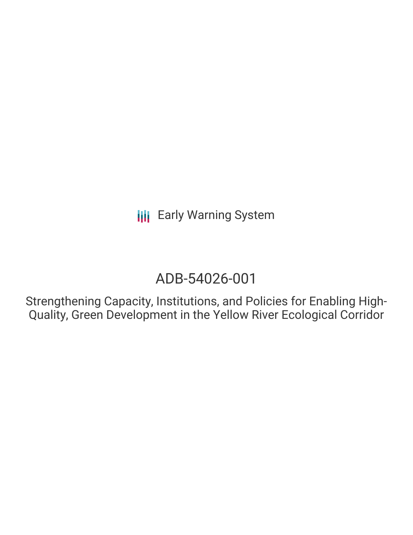# ADB-54026-001

Strengthening Capacity, Institutions, and Policies for Enabling High-Quality, Green Development in the Yellow River Ecological Corridor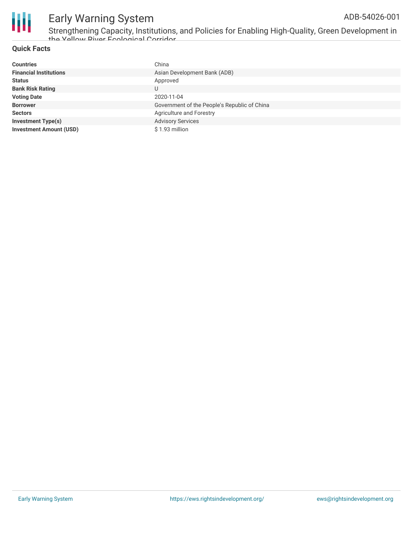

Strengthening Capacity, Institutions, and Policies for Enabling High-Quality, Green Development in the Yellow River Ecological Corridor

#### **Quick Facts**

| <b>Countries</b>               | China                                        |
|--------------------------------|----------------------------------------------|
| <b>Financial Institutions</b>  | Asian Development Bank (ADB)                 |
| <b>Status</b>                  | Approved                                     |
| <b>Bank Risk Rating</b>        | U                                            |
| <b>Voting Date</b>             | 2020-11-04                                   |
| <b>Borrower</b>                | Government of the People's Republic of China |
| <b>Sectors</b>                 | Agriculture and Forestry                     |
| <b>Investment Type(s)</b>      | <b>Advisory Services</b>                     |
| <b>Investment Amount (USD)</b> | \$1.93 million                               |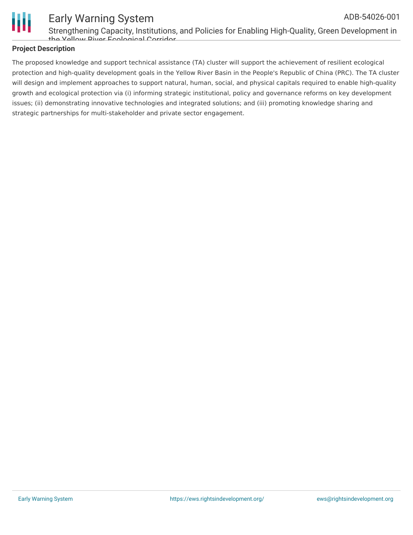

Strengthening Capacity, Institutions, and Policies for Enabling High-Quality, Green Development in the Yellow River Ecological Corridor

#### **Project Description**

The proposed knowledge and support technical assistance (TA) cluster will support the achievement of resilient ecological protection and high-quality development goals in the Yellow River Basin in the People's Republic of China (PRC). The TA cluster will design and implement approaches to support natural, human, social, and physical capitals required to enable high-quality growth and ecological protection via (i) informing strategic institutional, policy and governance reforms on key development issues; (ii) demonstrating innovative technologies and integrated solutions; and (iii) promoting knowledge sharing and strategic partnerships for multi-stakeholder and private sector engagement.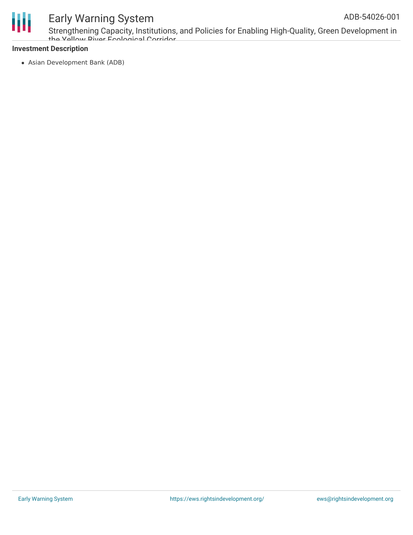

Strengthening Capacity, Institutions, and Policies for Enabling High-Quality, Green Development in the Vellow Piver Ecological Corridor

#### **Investment Description**

Asian Development Bank (ADB)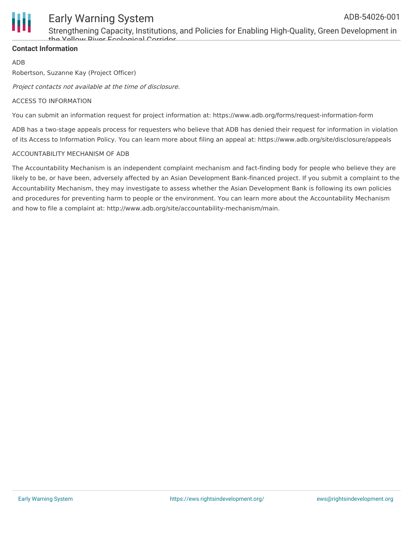

Strengthening Capacity, Institutions, and Policies for Enabling High-Quality, Green Development in the Yellow River Ecological Corridor

#### **Contact Information**

ADB

Robertson, Suzanne Kay (Project Officer)

Project contacts not available at the time of disclosure.

#### ACCESS TO INFORMATION

You can submit an information request for project information at: https://www.adb.org/forms/request-information-form

ADB has a two-stage appeals process for requesters who believe that ADB has denied their request for information in violation of its Access to Information Policy. You can learn more about filing an appeal at: https://www.adb.org/site/disclosure/appeals

#### ACCOUNTABILITY MECHANISM OF ADB

The Accountability Mechanism is an independent complaint mechanism and fact-finding body for people who believe they are likely to be, or have been, adversely affected by an Asian Development Bank-financed project. If you submit a complaint to the Accountability Mechanism, they may investigate to assess whether the Asian Development Bank is following its own policies and procedures for preventing harm to people or the environment. You can learn more about the Accountability Mechanism and how to file a complaint at: http://www.adb.org/site/accountability-mechanism/main.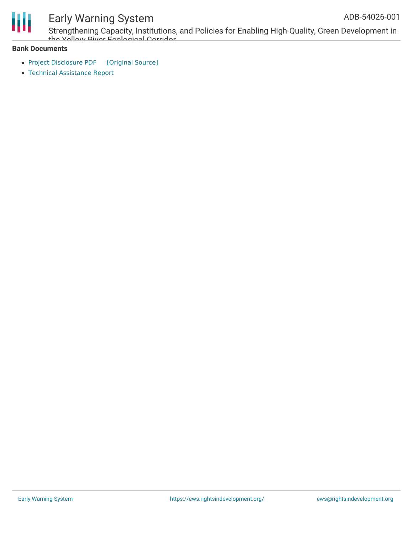

Strengthening Capacity, Institutions, and Policies for Enabling High-Quality, Green Development in the Vellow Piver Ecological Corridor

#### **Bank Documents**

- Project [Disclosure](https://ewsdata.rightsindevelopment.org/files/documents/01/ADB-54026-001.pdf) PDF [\[Original](https://www.adb.org/printpdf/projects/54026-001/main) Source]
- Technical [Assistance](https://www.adb.org/sites/default/files/project-documents/54026/54026-001-tar-en.pdf) Report